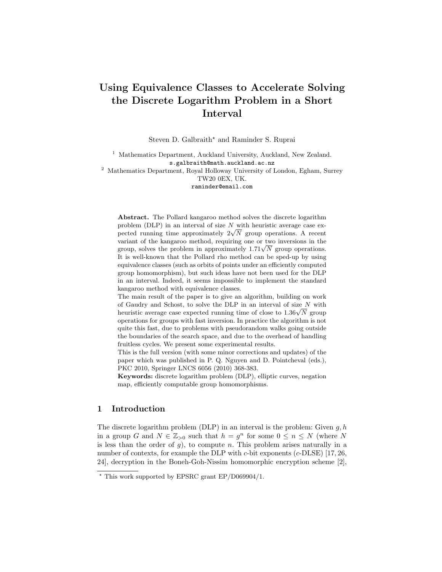# Using Equivalence Classes to Accelerate Solving the Discrete Logarithm Problem in a Short Interval

Steven D. Galbraith<sup>\*</sup> and Raminder S. Ruprai

<sup>1</sup> Mathematics Department, Auckland University, Auckland, New Zealand. s.galbraith@math.auckland.ac.nz

<sup>2</sup> Mathematics Department, Royal Holloway University of London, Egham, Surrey TW20 0EX, UK.

raminder@email.com

Abstract. The Pollard kangaroo method solves the discrete logarithm problem (DLP) in an interval of size  $N$  with heuristic average case exproblem (DLP) in an interval of size N with neuristic average case expected running time approximately  $2\sqrt{N}$  group operations. A recent variant of the kangaroo method, requiring one or two inversions in the variant of the kangaroo method, requiring one or two inversions in the group, solves the problem in approximately  $1.71\sqrt{N}$  group operations. It is well-known that the Pollard rho method can be sped-up by using equivalence classes (such as orbits of points under an efficiently computed group homomorphism), but such ideas have not been used for the DLP in an interval. Indeed, it seems impossible to implement the standard kangaroo method with equivalence classes.

The main result of the paper is to give an algorithm, building on work of Gaudry and Schost, to solve the DLP in an interval of size  $N$  with or Gaudry and Schost, to solve the DLP in an interval or size N with<br>heuristic average case expected running time of close to  $1.36\sqrt{N}$  group operations for groups with fast inversion. In practice the algorithm is not quite this fast, due to problems with pseudorandom walks going outside the boundaries of the search space, and due to the overhead of handling fruitless cycles. We present some experimental results.

This is the full version (with some minor corrections and updates) of the paper which was published in P. Q. Nguyen and D. Pointcheval (eds.), PKC 2010, Springer LNCS 6056 (2010) 368-383.

Keywords: discrete logarithm problem (DLP), elliptic curves, negation map, efficiently computable group homomorphisms.

# 1 Introduction

The discrete logarithm problem (DLP) in an interval is the problem: Given  $q, h$ in a group G and  $N \in \mathbb{Z}_{>0}$  such that  $h = g^n$  for some  $0 \le n \le N$  (where N is less than the order of  $g$ ), to compute n. This problem arises naturally in a number of contexts, for example the DLP with  $c$ -bit exponents  $(c$ -DLSE) [17, 26, 24], decryption in the Boneh-Goh-Nissim homomorphic encryption scheme [2],

 $\star$  This work supported by EPSRC grant EP/D069904/1.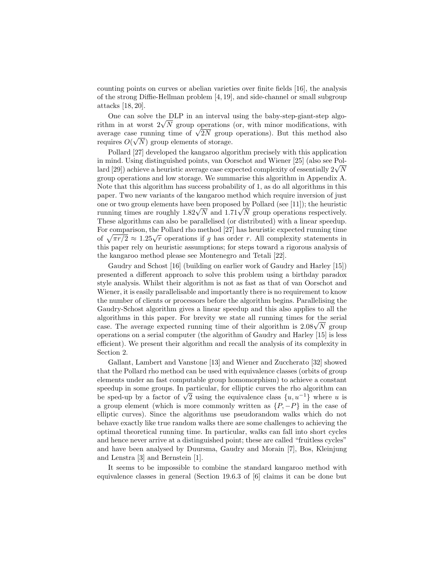counting points on curves or abelian varieties over finite fields [16], the analysis of the strong Diffie-Hellman problem [4, 19], and side-channel or small subgroup attacks [18, 20].

One can solve the DLP in an interval using the baby-step-giant-step algo-One can solve the DLP in an interval using the baby-step-giant-step algorithm in at worst  $2\sqrt{N}$  group operations (or, with minor modifications, with Fithm in at worst  $2\sqrt{N}$  group operations (or, with minor modifications, with average case running time of  $\sqrt{2N}$  group operations). But this method also requires  $O(\sqrt{N})$  group elements of storage.

Pollard [27] developed the kangaroo algorithm precisely with this application in mind. Using distinguished points, van Oorschot and Wiener [25] (also see Polin mind. Using distinguished points, van Oorschot and Wiener [25] (also see Poi-<br>lard [29]) achieve a heuristic average case expected complexity of essentially  $2\sqrt{N}$ group operations and low storage. We summarise this algorithm in Appendix A. Note that this algorithm has success probability of 1, as do all algorithms in this paper. Two new variants of the kangaroo method which require inversion of just one or two group elements have been proposed by Pollard (see [11]); the heuristic one or two group elements have been proposed by Pollard (see [11]); the neuristic running times are roughly  $1.82\sqrt{N}$  and  $1.71\sqrt{N}$  group operations respectively. These algorithms can also be parallelised (or distributed) with a linear speedup. For comparison, the Pollard rho method [27] has heuristic expected running time For comparison, the I onard tho method [21] has neutristic expected Funning time<br>of  $\sqrt{\pi r/2} \approx 1.25\sqrt{r}$  operations if g has order r. All complexity statements in this paper rely on heuristic assumptions; for steps toward a rigorous analysis of the kangaroo method please see Montenegro and Tetali [22].

Gaudry and Schost [16] (building on earlier work of Gaudry and Harley [15]) presented a different approach to solve this problem using a birthday paradox style analysis. Whilst their algorithm is not as fast as that of van Oorschot and Wiener, it is easily parallelisable and importantly there is no requirement to know the number of clients or processors before the algorithm begins. Parallelising the Gaudry-Schost algorithm gives a linear speedup and this also applies to all the algorithms in this paper. For brevity we state all running times for the serial algorithms in this paper. For brevity we state all running times for the serial case. The average expected running time of their algorithm is  $2.08\sqrt{N}$  group operations on a serial computer (the algorithm of Gaudry and Harley [15] is less efficient). We present their algorithm and recall the analysis of its complexity in Section 2.

Gallant, Lambert and Vanstone [13] and Wiener and Zuccherato [32] showed that the Pollard rho method can be used with equivalence classes (orbits of group elements under an fast computable group homomorphism) to achieve a constant speedup in some groups. In particular, for elliptic curves the rho algorithm can speedup in some groups. In particular, for elliptic curves the rho algorithm can<br>be sped-up by a factor of  $\sqrt{2}$  using the equivalence class  $\{u, u^{-1}\}\$  where u is a group element (which is more commonly written as  $\{P, -P\}$  in the case of elliptic curves). Since the algorithms use pseudorandom walks which do not behave exactly like true random walks there are some challenges to achieving the optimal theoretical running time. In particular, walks can fall into short cycles and hence never arrive at a distinguished point; these are called "fruitless cycles" and have been analysed by Duursma, Gaudry and Morain [7], Bos, Kleinjung and Lenstra [3] and Bernstein [1].

It seems to be impossible to combine the standard kangaroo method with equivalence classes in general (Section 19.6.3 of [6] claims it can be done but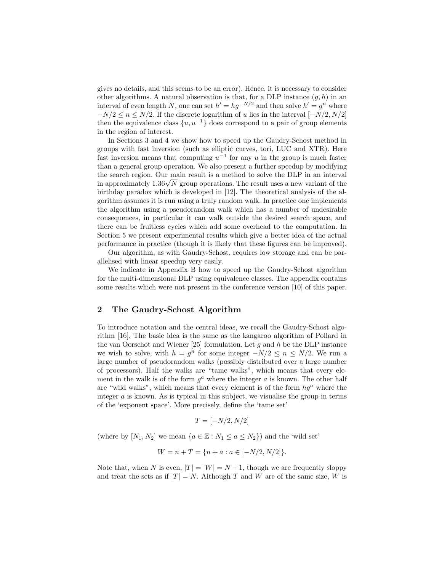gives no details, and this seems to be an error). Hence, it is necessary to consider other algorithms. A natural observation is that, for a DLP instance  $(g, h)$  in an interval of even length N, one can set  $h' = hg^{-N/2}$  and then solve  $h' = g^n$  where  $-N/2 \le n \le N/2$ . If the discrete logarithm of u lies in the interval  $[-N/2, N/2]$ then the equivalence class  $\{u, u^{-1}\}\$  does correspond to a pair of group elements in the region of interest.

In Sections 3 and 4 we show how to speed up the Gaudry-Schost method in groups with fast inversion (such as elliptic curves, tori, LUC and XTR). Here fast inversion means that computing  $u^{-1}$  for any u in the group is much faster than a general group operation. We also present a further speedup by modifying the search region. Our main result is a method to solve the DLP in an interval the search region. Our main result is a method to solve the DLP in an interval<br>in approximately 1.36√N group operations. The result uses a new variant of the birthday paradox which is developed in [12]. The theoretical analysis of the algorithm assumes it is run using a truly random walk. In practice one implements the algorithm using a pseudorandom walk which has a number of undesirable consequences, in particular it can walk outside the desired search space, and there can be fruitless cycles which add some overhead to the computation. In Section 5 we present experimental results which give a better idea of the actual performance in practice (though it is likely that these figures can be improved).

Our algorithm, as with Gaudry-Schost, requires low storage and can be parallelised with linear speedup very easily.

We indicate in Appendix B how to speed up the Gaudry-Schost algorithm for the multi-dimensional DLP using equivalence classes. The appendix contains some results which were not present in the conference version [10] of this paper.

# 2 The Gaudry-Schost Algorithm

To introduce notation and the central ideas, we recall the Gaudry-Schost algorithm [16]. The basic idea is the same as the kangaroo algorithm of Pollard in the van Oorschot and Wiener [25] formulation. Let  $g$  and  $h$  be the DLP instance we wish to solve, with  $h = g^n$  for some integer  $-N/2 \leq n \leq N/2$ . We run a large number of pseudorandom walks (possibly distributed over a large number of processors). Half the walks are "tame walks", which means that every element in the walk is of the form  $g^a$  where the integer a is known. The other half are "wild walks", which means that every element is of the form  $hg^a$  where the integer  $\alpha$  is known. As is typical in this subject, we visualise the group in terms of the 'exponent space'. More precisely, define the 'tame set'

$$
T = [-N/2, N/2]
$$

(where by  $[N_1, N_2]$  we mean  $\{a \in \mathbb{Z} : N_1 \le a \le N_2\}$ ) and the 'wild set'

$$
W = n + T = \{n + a : a \in [-N/2, N/2]\}.
$$

Note that, when N is even,  $|T| = |W| = N + 1$ , though we are frequently sloppy and treat the sets as if  $|T| = N$ . Although T and W are of the same size, W is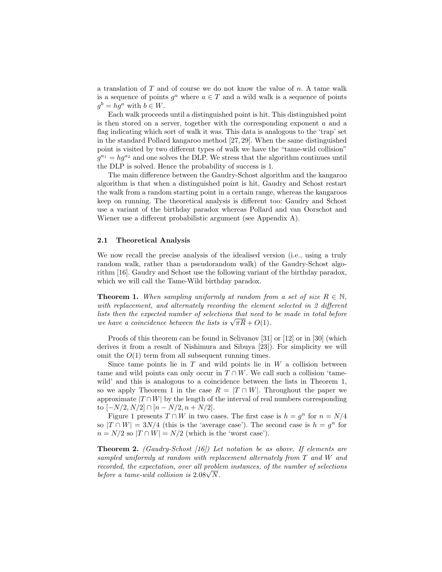a translation of T and of course we do not know the value of n. A tame walk is a sequence of points  $g^a$  where  $a \in T$  and a wild walk is a sequence of points  $g^b = hg^a$  with  $b \in W$ .

Each walk proceeds until a distinguished point is hit. This distinguished point is then stored on a server, together with the corresponding exponent a and a flag indicating which sort of walk it was. This data is analogous to the 'trap' set in the standard Pollard kangaroo method [27, 29]. When the same distinguished point is visited by two different types of walk we have the "tame-wild collision"  $g^{a_1} = h g^{a_2}$  and one solves the DLP. We stress that the algorithm continues until the DLP is solved. Hence the probability of success is 1.

The main difference between the Gaudry-Schost algorithm and the kangaroo algorithm is that when a distinguished point is hit, Gaudry and Schost restart the walk from a random starting point in a certain range, whereas the kangaroos keep on running. The theoretical analysis is different too: Gaudry and Schost use a variant of the birthday paradox whereas Pollard and van Oorschot and Wiener use a different probabilistic argument (see Appendix A).

#### 2.1 Theoretical Analysis

We now recall the precise analysis of the idealised version (i.e., using a truly random walk, rather than a pseudorandom walk) of the Gaudry-Schost algorithm [16]. Gaudry and Schost use the following variant of the birthday paradox, which we will call the Tame-Wild birthday paradox.

**Theorem 1.** When sampling uniformly at random from a set of size  $R \in \mathbb{N}$ , with replacement, and alternately recording the element selected in 2 different lists then the expected number of selections that need to be made in total before usts then the expected number of selections that need to we have a coincidence between the lists is  $\sqrt{\pi R} + O(1)$ .

Proofs of this theorem can be found in Selivanov [31] or [12] or in [30] (which derives it from a result of Nishimura and Sibuya [23]). For simplicity we will omit the  $O(1)$  term from all subsequent running times.

Since tame points lie in  $T$  and wild points lie in  $W$  a collision between tame and wild points can only occur in  $T \cap W$ . We call such a collision 'tamewild' and this is analogous to a coincidence between the lists in Theorem 1, so we apply Theorem 1 in the case  $R = |T \cap W|$ . Throughout the paper we approximate  $|T \cap W|$  by the length of the interval of real numbers corresponding to  $[-N/2, N/2] \cap [n - N/2, n + N/2].$ 

Figure 1 presents  $T \cap W$  in two cases. The first case is  $h = g^n$  for  $n = N/4$ so  $|T \cap W| = 3N/4$  (this is the 'average case'). The second case is  $h = g^n$  for  $n = N/2$  so  $|T \cap W| = N/2$  (which is the 'worst case').

Theorem 2. (Gaudry-Schost [16]) Let notation be as above. If elements are sampled uniformly at random with replacement alternately from T and W and recorded, the expectation, over all problem instances, of the number of selections recoraea, the expectation, over all proble<br>before a tame-wild collision is  $2.08\sqrt{N}$ .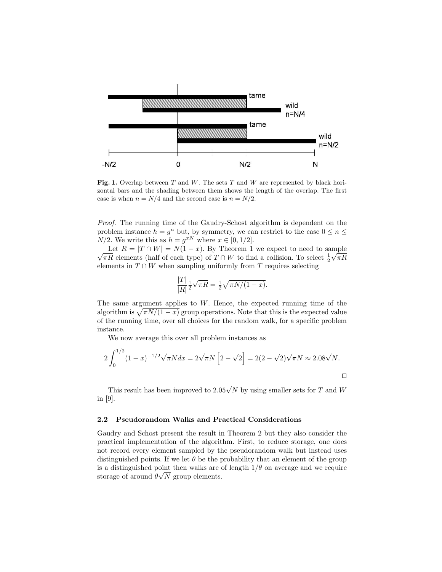

Fig. 1. Overlap between  $T$  and  $W$ . The sets  $T$  and  $W$  are represented by black horizontal bars and the shading between them shows the length of the overlap. The first case is when  $n = N/4$  and the second case is  $n = N/2$ .

Proof. The running time of the Gaudry-Schost algorithm is dependent on the problem instance  $h = g^n$  but, by symmetry, we can restrict to the case  $0 \le n \le$  $N/2$ . We write this as  $h = g^{xN}$  where  $x \in [0, 1/2]$ .

Let  $R = |I| + |W| = N(1 - x)$ . By Theorem 1 we expect to need to sample  $\sqrt{\pi R}$  elements (half of each type) of  $T \cap W$  to find a collision. To select  $\frac{1}{2}\sqrt{\pi R}$ Let  $R = |T \cap W| = N(1-x)$ . By Theorem 1 we expect to need to sample elements in  $T \cap W$  when sampling uniformly from T requires selecting

$$
\frac{|T|}{|R|} \frac{1}{2} \sqrt{\pi R} = \frac{1}{2} \sqrt{\pi N/(1-x)}.
$$

The same argument applies to  $W$ . Hence, the expected running time of the algorithm is  $\sqrt{\pi N/(1-x)}$  group operations. Note that this is the expected value of the running time, over all choices for the random walk, for a specific problem instance.

We now average this over all problem instances as

$$
2\int_0^{1/2} (1-x)^{-1/2} \sqrt{\pi N} dx = 2\sqrt{\pi N} \left[ 2 - \sqrt{2} \right] = 2(2 - \sqrt{2})\sqrt{\pi N} \approx 2.08\sqrt{N}.
$$

This result has been improved to  $2.05\sqrt{N}$  by using smaller sets for T and W in [9].

#### 2.2 Pseudorandom Walks and Practical Considerations

Gaudry and Schost present the result in Theorem 2 but they also consider the practical implementation of the algorithm. First, to reduce storage, one does not record every element sampled by the pseudorandom walk but instead uses distinguished points. If we let  $\theta$  be the probability that an element of the group is a distinguished point then walks are of length  $1/\theta$  on average and we require storage of around  $\theta\sqrt{N}$  group elements.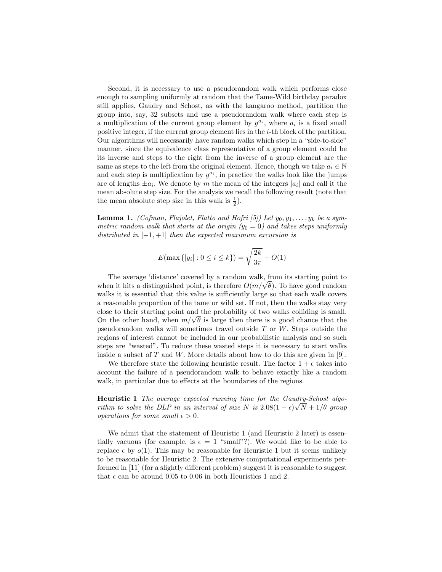Second, it is necessary to use a pseudorandom walk which performs close enough to sampling uniformly at random that the Tame-Wild birthday paradox still applies. Gaudry and Schost, as with the kangaroo method, partition the group into, say, 32 subsets and use a pseudorandom walk where each step is a multiplication of the current group element by  $g^{a_i}$ , where  $a_i$  is a fixed small positive integer, if the current group element lies in the i-th block of the partition. Our algorithms will necessarily have random walks which step in a "side-to-side" manner, since the equivalence class representative of a group element could be its inverse and steps to the right from the inverse of a group element are the same as steps to the left from the original element. Hence, though we take  $a_i \in \mathbb{N}$ and each step is multiplication by  $g^{a_i}$ , in practice the walks look like the jumps are of lengths  $\pm a_i$ . We denote by m the mean of the integers  $|a_i|$  and call it the mean absolute step size. For the analysis we recall the following result (note that the mean absolute step size in this walk is  $\frac{1}{2}$ ).

**Lemma 1.** (Cofman, Flajolet, Flatto and Hofri [5]) Let  $y_0, y_1, \ldots, y_k$  be a symmetric random walk that starts at the origin  $(y_0 = 0)$  and takes steps uniformly distributed in  $[-1, +1]$  then the expected maximum excursion is

$$
E(\max\{|y_i| : 0 \le i \le k\}) = \sqrt{\frac{2k}{3\pi}} + O(1)
$$

The average 'distance' covered by a random walk, from its starting point to The average 'distance' covered by a random walk, from its starting point to when it hits a distinguished point, is therefore  $O(m/\sqrt{\theta})$ . To have good random walks it is essential that this value is sufficiently large so that each walk covers a reasonable proportion of the tame or wild set. If not, then the walks stay very close to their starting point and the probability of two walks colliding is small. close to their starting point and the probability of two walks colliding is small.<br>On the other hand, when  $m/\sqrt{\theta}$  is large then there is a good chance that the pseudorandom walks will sometimes travel outside  $T$  or  $W$ . Steps outside the regions of interest cannot be included in our probabilistic analysis and so such steps are "wasted". To reduce these wasted steps it is necessary to start walks inside a subset of T and W. More details about how to do this are given in [9].

We therefore state the following heuristic result. The factor  $1 + \epsilon$  takes into account the failure of a pseudorandom walk to behave exactly like a random walk, in particular due to effects at the boundaries of the regions.

Heuristic 1 The average expected running time for the Gaudry-Schost algorithm to solve the DLP in an interval of size N is  $2.08(1+\epsilon)\sqrt{N}+1/\theta$  group operations for some small  $\epsilon > 0$ .

We admit that the statement of Heuristic 1 (and Heuristic 2 later) is essentially vacuous (for example, is  $\epsilon = 1$  "small"?). We would like to be able to replace  $\epsilon$  by  $o(1)$ . This may be reasonable for Heuristic 1 but it seems unlikely to be reasonable for Heuristic 2. The extensive computational experiments performed in [11] (for a slightly different problem) suggest it is reasonable to suggest that  $\epsilon$  can be around 0.05 to 0.06 in both Heuristics 1 and 2.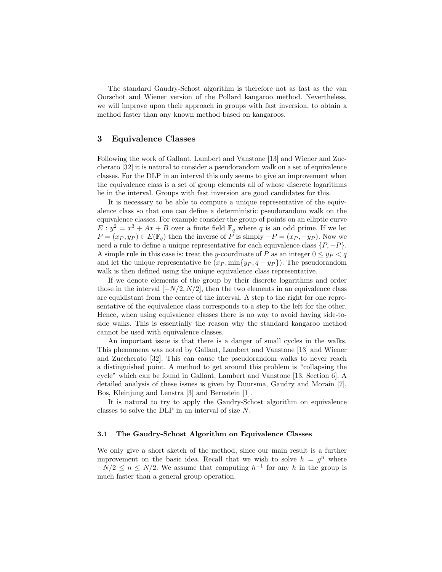The standard Gaudry-Schost algorithm is therefore not as fast as the van Oorschot and Wiener version of the Pollard kangaroo method. Nevertheless, we will improve upon their approach in groups with fast inversion, to obtain a method faster than any known method based on kangaroos.

# 3 Equivalence Classes

Following the work of Gallant, Lambert and Vanstone [13] and Wiener and Zuccherato [32] it is natural to consider a pseudorandom walk on a set of equivalence classes. For the DLP in an interval this only seems to give an improvement when the equivalence class is a set of group elements all of whose discrete logarithms lie in the interval. Groups with fast inversion are good candidates for this.

It is necessary to be able to compute a unique representative of the equivalence class so that one can define a deterministic pseudorandom walk on the equivalence classes. For example consider the group of points on an elliptic curve  $E: y^2 = x^3 + Ax + B$  over a finite field  $\mathbb{F}_q$  where q is an odd prime. If we let  $P = (x_P, y_P) \in E(\mathbb{F}_q)$  then the inverse of P is simply  $-P = (x_P, -y_P)$ . Now we need a rule to define a unique representative for each equivalence class  $\{P, -P\}$ . A simple rule in this case is: treat the y-coordinate of P as an integer  $0 \le y_P < q$ and let the unique representative be  $(x_P, \min\{y_P, q - y_P\})$ . The pseudorandom walk is then defined using the unique equivalence class representative.

If we denote elements of the group by their discrete logarithms and order those in the interval  $[-N/2, N/2]$ , then the two elements in an equivalence class are equidistant from the centre of the interval. A step to the right for one representative of the equivalence class corresponds to a step to the left for the other. Hence, when using equivalence classes there is no way to avoid having side-toside walks. This is essentially the reason why the standard kangaroo method cannot be used with equivalence classes.

An important issue is that there is a danger of small cycles in the walks. This phenomena was noted by Gallant, Lambert and Vanstone [13] and Wiener and Zuccherato [32]. This can cause the pseudorandom walks to never reach a distinguished point. A method to get around this problem is "collapsing the cycle" which can be found in Gallant, Lambert and Vanstone [13, Section 6]. A detailed analysis of these issues is given by Duursma, Gaudry and Morain [7], Bos, Kleinjung and Lenstra [3] and Bernstein [1].

It is natural to try to apply the Gaudry-Schost algorithm on equivalence classes to solve the DLP in an interval of size N.

#### 3.1 The Gaudry-Schost Algorithm on Equivalence Classes

We only give a short sketch of the method, since our main result is a further improvement on the basic idea. Recall that we wish to solve  $h = g^n$  where  $-N/2 \leq n \leq N/2$ . We assume that computing  $h^{-1}$  for any h in the group is much faster than a general group operation.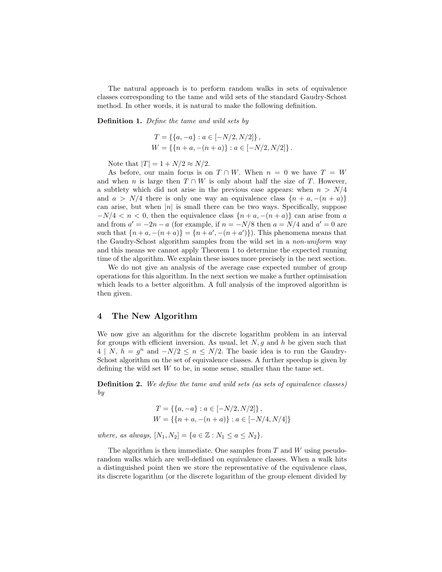The natural approach is to perform random walks in sets of equivalence classes corresponding to the tame and wild sets of the standard Gaudry-Schost method. In other words, it is natural to make the following definition.

Definition 1. Define the tame and wild sets by

$$
T = \{ \{a, -a\} : a \in [-N/2, N/2] \},
$$
  
 
$$
W = \{ \{n+a, -(n+a) \} : a \in [-N/2, N/2] \}.
$$

Note that  $|T| = 1 + N/2 \approx N/2$ .

As before, our main focus is on  $T \cap W$ . When  $n = 0$  we have  $T = W$ and when n is large then  $T \cap W$  is only about half the size of T. However, a subtlety which did not arise in the previous case appears: when  $n > N/4$ and  $a > N/4$  there is only one way an equivalence class  $\{n + a, -(n + a)\}\$ can arise, but when  $|n|$  is small there can be two ways. Specifically, suppose  $-N/4 < n < 0$ , then the equivalence class  $\{n + a, -(n + a)\}\$ can arise from a and from  $a' = -2n - a$  (for example, if  $n = -N/8$  then  $a = N/4$  and  $a' = 0$  are such that  $\{n+a,-(n+a)\} = \{n+a',-(n+a')\}\)$ . This phenomena means that the Gaudry-Schost algorithm samples from the wild set in a non-uniform way and this means we cannot apply Theorem 1 to determine the expected running time of the algorithm. We explain these issues more precisely in the next section.

We do not give an analysis of the average case expected number of group operations for this algorithm. In the next section we make a further optimisation which leads to a better algorithm. A full analysis of the improved algorithm is then given.

## 4 The New Algorithm

We now give an algorithm for the discrete logarithm problem in an interval for groups with efficient inversion. As usual, let  $N$ , q and h be given such that  $4 | N, h = g<sup>n</sup>$  and  $-N/2 \le n \le N/2$ . The basic idea is to run the Gaudry-Schost algorithm on the set of equivalence classes. A further speedup is given by defining the wild set  $W$  to be, in some sense, smaller than the tame set.

**Definition 2.** We define the tame and wild sets (as sets of equivalence classes) by

$$
T = \{ \{a, -a\} : a \in [-N/2, N/2] \},
$$
  
 
$$
W = \{ \{n + a, -(n + a) \} : a \in [-N/4, N/4] \}
$$

where, as always,  $[N_1, N_2] = \{a \in \mathbb{Z} : N_1 \le a \le N_2\}.$ 

The algorithm is then immediate. One samples from  $T$  and  $W$  using pseudorandom walks which are well-defined on equivalence classes. When a walk hits a distinguished point then we store the representative of the equivalence class, its discrete logarithm (or the discrete logarithm of the group element divided by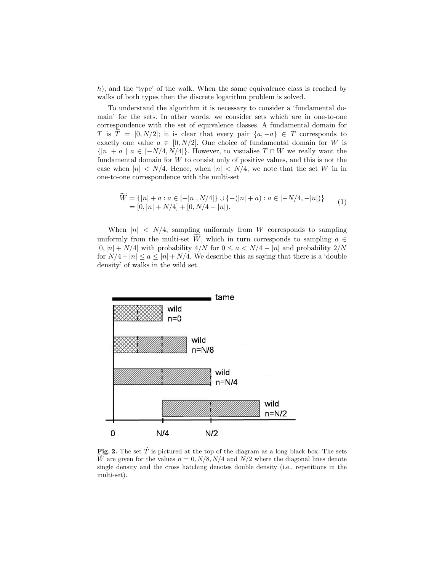h), and the 'type' of the walk. When the same equivalence class is reached by walks of both types then the discrete logarithm problem is solved.

To understand the algorithm it is necessary to consider a 'fundamental domain' for the sets. In other words, we consider sets which are in one-to-one correspondence with the set of equivalence classes. A fundamental domain for T is  $T = [0, N/2]$ ; it is clear that every pair  $\{a, -a\} \in T$  corresponds to exactly one value  $a \in [0, N/2]$ . One choice of fundamental domain for W is  $\{|n| + a \mid a \in [-N/4, N/4]\}.$  However, to visualise  $T \cap W$  we really want the fundamental domain for  $W$  to consist only of positive values, and this is not the case when  $|n| < N/4$ . Hence, when  $|n| < N/4$ , we note that the set W in in one-to-one correspondence with the multi-set

$$
\widetilde{W} = \{|n| + a : a \in [-|n|, N/4]\} \cup \{-(|n| + a) : a \in [-N/4, -|n|)\}
$$
  
= [0, |n| + N/4] + [0, N/4 - |n|). (1)

When  $|n| \le N/4$ , sampling uniformly from W corresponds to sampling uniformly from the multi-set  $\tilde{W}$ , which in turn corresponds to sampling  $a \in$  $[0, |n| + N/4]$  with probability  $4/N$  for  $0 \le a \lt N/4 - |n|$  and probability  $2/N$ for  $N/4 - |n| \le a \le |n| + N/4$ . We describe this as saying that there is a 'double density' of walks in the wild set.



Fig. 2. The set  $\widetilde{T}$  is pictured at the top of the diagram as a long black box. The sets W are given for the values  $n = 0, N/8, N/4$  and  $N/2$  where the diagonal lines denote single density and the cross hatching denotes double density (i.e., repetitions in the multi-set).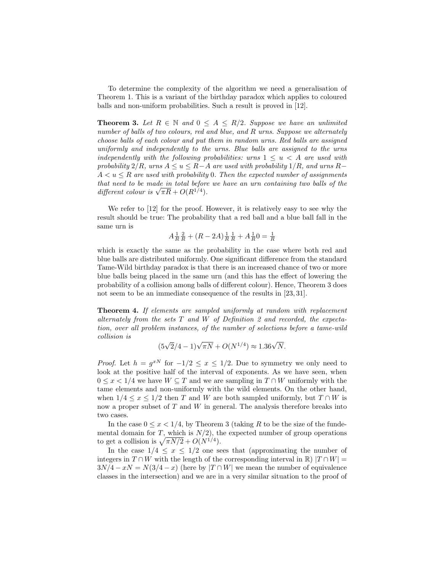To determine the complexity of the algorithm we need a generalisation of Theorem 1. This is a variant of the birthday paradox which applies to coloured balls and non-uniform probabilities. Such a result is proved in [12].

**Theorem 3.** Let  $R \in \mathbb{N}$  and  $0 \leq A \leq R/2$ . Suppose we have an unlimited number of balls of two colours, red and blue, and R urns. Suppose we alternately choose balls of each colour and put them in random urns. Red balls are assigned uniformly and independently to the urns. Blue balls are assigned to the urns independently with the following probabilities: urns  $1 \leq u < A$  are used with probability  $2/R$ , urns  $A \le u \le R-A$  are used with probability  $1/R$ , and urns  $R A < u \leq R$  are used with probability 0. Then the expected number of assignments that need to be made in total before we have an urn containing two balls of the that need to be made in total before<br>different colour is  $\sqrt{\pi R} + O(R^{1/4})$ .

We refer to [12] for the proof. However, it is relatively easy to see why the result should be true: The probability that a red ball and a blue ball fall in the same urn is

$$
A \frac{1}{R} \frac{2}{R} + (R - 2A) \frac{1}{R} \frac{1}{R} + A \frac{1}{R} 0 = \frac{1}{R}
$$

which is exactly the same as the probability in the case where both red and blue balls are distributed uniformly. One significant difference from the standard Tame-Wild birthday paradox is that there is an increased chance of two or more blue balls being placed in the same urn (and this has the effect of lowering the probability of a collision among balls of different colour). Hence, Theorem 3 does not seem to be an immediate consequence of the results in [23, 31].

Theorem 4. If elements are sampled uniformly at random with replacement alternately from the sets  $T$  and  $W$  of Definition 2 and recorded, the expectation, over all problem instances, of the number of selections before a tame-wild collision is

$$
(5\sqrt{2}/4 - 1)\sqrt{\pi N} + O(N^{1/4}) \approx 1.36\sqrt{N}.
$$

*Proof.* Let  $h = g^{xN}$  for  $-1/2 \le x \le 1/2$ . Due to symmetry we only need to look at the positive half of the interval of exponents. As we have seen, when  $0 \leq x < 1/4$  we have  $W \subseteq T$  and we are sampling in  $T \cap W$  uniformly with the tame elements and non-uniformly with the wild elements. On the other hand, when  $1/4 \leq x \leq 1/2$  then T and W are both sampled uniformly, but  $T \cap W$  is now a proper subset of  $T$  and  $W$  in general. The analysis therefore breaks into two cases.

In the case  $0 \leq x < 1/4$ , by Theorem 3 (taking R to be the size of the fundemental domain for T, which is  $N/2$ , the expected number of group operations to get a collision is  $\sqrt{\pi N/2} + O(N^{1/4})$ .

In the case  $1/4 \leq x \leq 1/2$  one sees that (approximating the number of integers in  $T \cap W$  with the length of the corresponding interval in R)  $|T \cap W|$  =  $3N/4 - xN = N(3/4 - x)$  (here by  $|T \cap W|$  we mean the number of equivalence classes in the intersection) and we are in a very similar situation to the proof of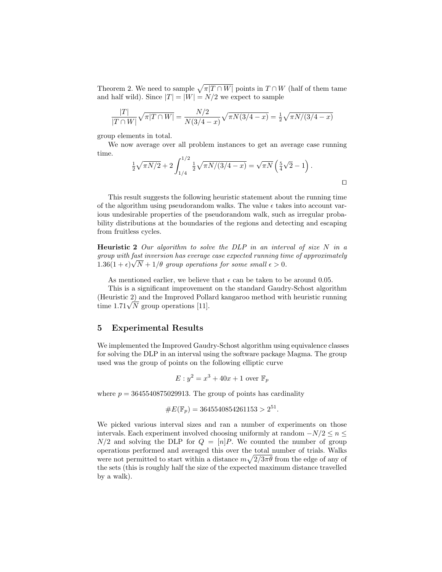Theorem 2. We need to sample  $\sqrt{\pi|T \cap W|}$  points in  $T \cap W$  (half of them tame and half wild). Since  $|T| = |W| = N/2$  we expect to sample

$$
\frac{|T|}{|T \cap W|} \sqrt{\pi |T \cap W|} = \frac{N/2}{N(3/4 - x)} \sqrt{\pi N(3/4 - x)} = \frac{1}{2} \sqrt{\pi N/(3/4 - x)}
$$

group elements in total.

We now average over all problem instances to get an average case running time.

$$
\frac{1}{2}\sqrt{\pi N/2} + 2\int_{1/4}^{1/2} \frac{1}{2}\sqrt{\pi N/(3/4 - x)} = \sqrt{\pi N} \left(\frac{5}{4}\sqrt{2} - 1\right).
$$

This result suggests the following heuristic statement about the running time of the algorithm using pseudorandom walks. The value  $\epsilon$  takes into account various undesirable properties of the pseudorandom walk, such as irregular probability distributions at the boundaries of the regions and detecting and escaping from fruitless cycles.

**Heuristic 2** Our algorithm to solve the DLP in an interval of size  $N$  in a group with fast inversion has everage case expected running time of approximately  $1.36(1+\epsilon)\sqrt{N+1/\theta}$  group operations for some small  $\epsilon > 0$ .

As mentioned earlier, we believe that  $\epsilon$  can be taken to be around 0.05.

This is a significant improvement on the standard Gaudry-Schost algorithm (Heuristic 2) and the Improved Pollard kangaroo method with heuristic running (Heuristic 2) and the improved Pollations [11].

## 5 Experimental Results

We implemented the Improved Gaudry-Schost algorithm using equivalence classes for solving the DLP in an interval using the software package Magma. The group used was the group of points on the following elliptic curve

$$
E: y^2 = x^3 + 40x + 1
$$
 over  $\mathbb{F}_p$ 

where  $p = 3645540875029913$ . The group of points has cardinality

#E(Fp) = 3645540854261153 > 2 51 .

We picked various interval sizes and ran a number of experiments on those intervals. Each experiment involved choosing uniformly at random  $-N/2 \le n \le$  $N/2$  and solving the DLP for  $Q = [n]P$ . We counted the number of group operations performed and averaged this over the total number of trials. Walks were not permitted to start within a distance  $m\sqrt{2/3\pi\theta}$  from the edge of any of the sets (this is roughly half the size of the expected maximum distance travelled by a walk).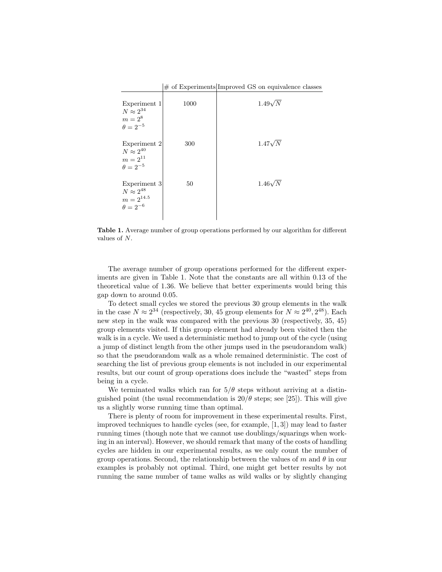|                                                                        |      | $\#$ of Experiments Improved GS on equivalence classes |
|------------------------------------------------------------------------|------|--------------------------------------------------------|
| Experiment 1<br>$N\approx 2^{34}$<br>$m=2^8$<br>$\theta = 2^{-5}$      | 1000 | $1.49\sqrt{N}$                                         |
| Experiment 2<br>$N\approx 2^{40}$<br>$m = 2^{11}$<br>$\theta = 2^{-5}$ | 300  | $1.47\sqrt{N}$                                         |
| Experiment 3<br>$N\approx 2^{48}$<br>$m=2^{14.5}\,$<br>$\theta=2^{-6}$ | 50   | $1.46\sqrt{N}$                                         |

Table 1. Average number of group operations performed by our algorithm for different values of N.

The average number of group operations performed for the different experiments are given in Table 1. Note that the constants are all within 0.13 of the theoretical value of 1.36. We believe that better experiments would bring this gap down to around 0.05.

To detect small cycles we stored the previous 30 group elements in the walk in the case  $N \approx 2^{34}$  (respectively, 30, 45 group elements for  $N \approx 2^{40}$ , 2<sup>48</sup>). Each new step in the walk was compared with the previous 30 (respectively, 35, 45) group elements visited. If this group element had already been visited then the walk is in a cycle. We used a deterministic method to jump out of the cycle (using a jump of distinct length from the other jumps used in the pseudorandom walk) so that the pseudorandom walk as a whole remained deterministic. The cost of searching the list of previous group elements is not included in our experimental results, but our count of group operations does include the "wasted" steps from being in a cycle.

We terminated walks which ran for  $5/\theta$  steps without arriving at a distinguished point (the usual recommendation is  $20/\theta$  steps; see [25]). This will give us a slightly worse running time than optimal.

There is plenty of room for improvement in these experimental results. First, improved techniques to handle cycles (see, for example, [1, 3]) may lead to faster running times (though note that we cannot use doublings/squarings when working in an interval). However, we should remark that many of the costs of handling cycles are hidden in our experimental results, as we only count the number of group operations. Second, the relationship between the values of m and  $\theta$  in our examples is probably not optimal. Third, one might get better results by not running the same number of tame walks as wild walks or by slightly changing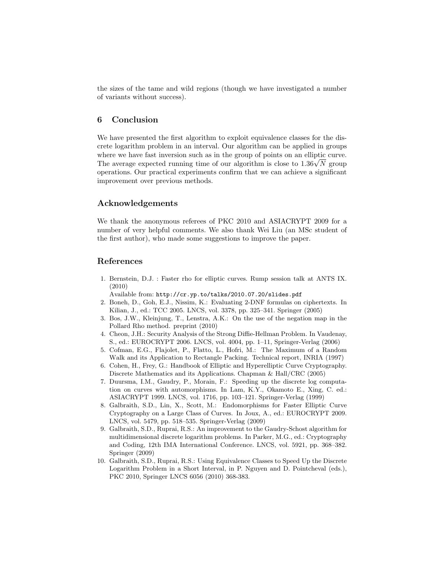the sizes of the tame and wild regions (though we have investigated a number of variants without success).

# 6 Conclusion

We have presented the first algorithm to exploit equivalence classes for the discrete logarithm problem in an interval. Our algorithm can be applied in groups where we have fast inversion such as in the group of points on an elliptic curve. where we have fast inversion such as in the group of points on an elliptic curve.<br>The average expected running time of our algorithm is close to  $1.36\sqrt{N}$  group operations. Our practical experiments confirm that we can achieve a significant improvement over previous methods.

## Acknowledgements

We thank the anonymous referees of PKC 2010 and ASIACRYPT 2009 for a number of very helpful comments. We also thank Wei Liu (an MSc student of the first author), who made some suggestions to improve the paper.

## References

1. Bernstein, D.J. : Faster rho for elliptic curves. Rump session talk at ANTS IX. (2010)

Available from: http://cr.yp.to/talks/2010.07.20/slides.pdf

- 2. Boneh, D., Goh, E.J., Nissim, K.: Evaluating 2-DNF formulas on ciphertexts. In Kilian, J., ed.: TCC 2005. LNCS, vol. 3378, pp. 325–341. Springer (2005)
- 3. Bos, J.W., Kleinjung, T., Lenstra, A.K.: On the use of the negation map in the Pollard Rho method. preprint (2010)
- 4. Cheon, J.H.: Security Analysis of the Strong Diffie-Hellman Problem. In Vaudenay, S., ed.: EUROCRYPT 2006. LNCS, vol. 4004, pp. 1–11, Springer-Verlag (2006)
- 5. Cofman, E.G., Flajolet, P., Flatto, L., Hofri, M.: The Maximum of a Random Walk and its Application to Rectangle Packing. Technical report, INRIA (1997)
- 6. Cohen, H., Frey, G.: Handbook of Elliptic and Hyperelliptic Curve Cryptography. Discrete Mathematics and its Applications. Chapman & Hall/CRC (2005)
- 7. Duursma, I.M., Gaudry, P., Morain, F.: Speeding up the discrete log computation on curves with automorphisms. In Lam, K.Y., Okamoto E., Xing, C. ed.: ASIACRYPT 1999. LNCS, vol. 1716, pp. 103–121. Springer-Verlag (1999)
- 8. Galbraith, S.D., Lin, X., Scott, M.: Endomorphisms for Faster Elliptic Curve Cryptography on a Large Class of Curves. In Joux, A., ed.: EUROCRYPT 2009. LNCS, vol. 5479, pp. 518–535. Springer-Verlag (2009)
- 9. Galbraith, S.D., Ruprai, R.S.: An improvement to the Gaudry-Schost algorithm for multidimensional discrete logarithm problems. In Parker, M.G., ed.: Cryptography and Coding, 12th IMA International Conference. LNCS, vol. 5921, pp. 368–382. Springer (2009)
- 10. Galbraith, S.D., Ruprai, R.S.: Using Equivalence Classes to Speed Up the Discrete Logarithm Problem in a Short Interval, in P. Nguyen and D. Pointcheval (eds.), PKC 2010, Springer LNCS 6056 (2010) 368-383.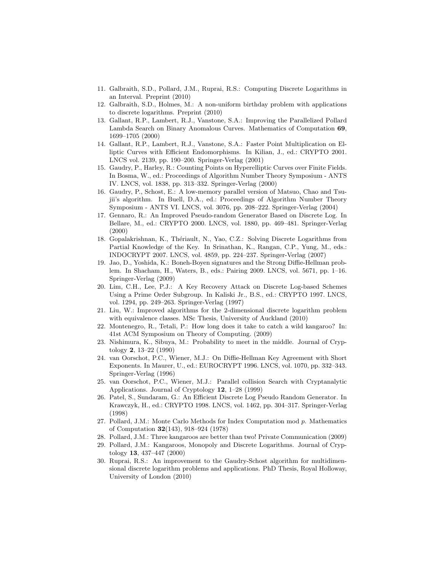- 11. Galbraith, S.D., Pollard, J.M., Ruprai, R.S.: Computing Discrete Logarithms in an Interval. Preprint (2010)
- 12. Galbraith, S.D., Holmes, M.: A non-uniform birthday problem with applications to discrete logarithms. Preprint (2010)
- 13. Gallant, R.P., Lambert, R.J., Vanstone, S.A.: Improving the Parallelized Pollard Lambda Search on Binary Anomalous Curves. Mathematics of Computation 69, 1699–1705 (2000)
- 14. Gallant, R.P., Lambert, R.J., Vanstone, S.A.: Faster Point Multiplication on Elliptic Curves with Efficient Endomorphisms. In Kilian, J., ed.: CRYPTO 2001. LNCS vol. 2139, pp. 190–200. Springer-Verlag (2001)
- 15. Gaudry, P., Harley, R.: Counting Points on Hyperelliptic Curves over Finite Fields. In Bosma, W., ed.: Proceedings of Algorithm Number Theory Symposium - ANTS IV. LNCS, vol. 1838, pp. 313–332. Springer-Verlag (2000)
- 16. Gaudry, P., Schost, E.: A low-memory parallel version of Matsuo, Chao and Tsujii's algorithm. In Buell, D.A., ed.: Proceedings of Algorithm Number Theory Symposium - ANTS VI. LNCS, vol. 3076, pp. 208–222. Springer-Verlag (2004)
- 17. Gennaro, R.: An Improved Pseudo-random Generator Based on Discrete Log. In Bellare, M., ed.: CRYPTO 2000. LNCS, vol. 1880, pp. 469–481. Springer-Verlag (2000)
- 18. Gopalakrishnan, K., Thériault, N., Yao, C.Z.: Solving Discrete Logarithms from Partial Knowledge of the Key. In Srinathan, K., Rangan, C.P., Yung, M., eds.: INDOCRYPT 2007. LNCS, vol. 4859, pp. 224–237. Springer-Verlag (2007)
- 19. Jao, D., Yoshida, K.: Boneh-Boyen signatures and the Strong Diffie-Hellman problem. In Shacham, H., Waters, B., eds.: Pairing 2009. LNCS, vol. 5671, pp. 1–16. Springer-Verlag (2009)
- 20. Lim, C.H., Lee, P.J.: A Key Recovery Attack on Discrete Log-based Schemes Using a Prime Order Subgroup. In Kaliski Jr., B.S., ed.: CRYPTO 1997. LNCS, vol. 1294, pp. 249–263. Springer-Verlag (1997)
- 21. Liu, W.: Improved algorithms for the 2-dimensional discrete logarithm problem with equivalence classes. MSc Thesis, University of Auckland (2010)
- 22. Montenegro, R., Tetali, P.: How long does it take to catch a wild kangaroo? In: 41st ACM Symposium on Theory of Computing. (2009)
- 23. Nishimura, K., Sibuya, M.: Probability to meet in the middle. Journal of Cryptology 2, 13–22 (1990)
- 24. van Oorschot, P.C., Wiener, M.J.: On Diffie-Hellman Key Agreement with Short Exponents. In Maurer, U., ed.: EUROCRYPT 1996. LNCS, vol. 1070, pp. 332–343. Springer-Verlag (1996)
- 25. van Oorschot, P.C., Wiener, M.J.: Parallel collision Search with Cryptanalytic Applications. Journal of Cryptology 12, 1–28 (1999)
- 26. Patel, S., Sundaram, G.: An Efficient Discrete Log Pseudo Random Generator. In Krawczyk, H., ed.: CRYPTO 1998. LNCS, vol. 1462, pp. 304–317. Springer-Verlag (1998)
- 27. Pollard, J.M.: Monte Carlo Methods for Index Computation mod  $p$ . Mathematics of Computation 32(143), 918–924 (1978)
- 28. Pollard, J.M.: Three kangaroos are better than two! Private Communication (2009)
- 29. Pollard, J.M.: Kangaroos, Monopoly and Discrete Logarithms. Journal of Cryptology 13, 437–447 (2000)
- 30. Ruprai, R.S.: An improvement to the Gaudry-Schost algorithm for multidimensional discrete logarithm problems and applications. PhD Thesis, Royal Holloway, University of London (2010)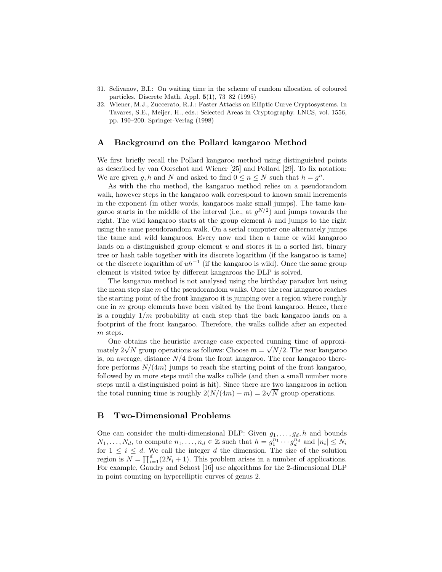- 31. Selivanov, B.I.: On waiting time in the scheme of random allocation of coloured particles. Discrete Math. Appl. 5(1), 73–82 (1995)
- 32. Wiener, M.J., Zuccerato, R.J.: Faster Attacks on Elliptic Curve Cryptosystems. In Tavares, S.E., Meijer, H., eds.: Selected Areas in Cryptography. LNCS, vol. 1556, pp. 190–200. Springer-Verlag (1998)

# A Background on the Pollard kangaroo Method

We first briefly recall the Pollard kangaroo method using distinguished points as described by van Oorschot and Wiener [25] and Pollard [29]. To fix notation: We are given g, h and N and asked to find  $0 \le n \le N$  such that  $h = g^n$ .

As with the rho method, the kangaroo method relies on a pseudorandom walk, however steps in the kangaroo walk correspond to known small increments in the exponent (in other words, kangaroos make small jumps). The tame kangaroo starts in the middle of the interval (i.e., at  $g^{N/2}$ ) and jumps towards the right. The wild kangaroo starts at the group element  $h$  and jumps to the right using the same pseudorandom walk. On a serial computer one alternately jumps the tame and wild kangaroos. Every now and then a tame or wild kangaroo lands on a distinguished group element  $u$  and stores it in a sorted list, binary tree or hash table together with its discrete logarithm (if the kangaroo is tame) or the discrete logarithm of  $uh^{-1}$  (if the kangaroo is wild). Once the same group element is visited twice by different kangaroos the DLP is solved.

The kangaroo method is not analysed using the birthday paradox but using the mean step size  $m$  of the pseudorandom walks. Once the rear kangaroo reaches the starting point of the front kangaroo it is jumping over a region where roughly one in  $m$  group elements have been visited by the front kangaroo. Hence, there is a roughly  $1/m$  probability at each step that the back kangaroo lands on a footprint of the front kangaroo. Therefore, the walks collide after an expected m steps.

One obtains the heuristic average case expected running time of approxi-One obtains the neuristic average case expected running time of approximately  $2\sqrt{N}$  group operations as follows: Choose  $m = \sqrt{N}/2$ . The rear kangaroo is, on average, distance  $N/4$  from the front kangaroo. The rear kangaroo therefore performs  $N/(4m)$  jumps to reach the starting point of the front kangaroo, followed by  $m$  more steps until the walks collide (and then a small number more steps until a distinguished point is hit). Since there are two kangaroos in action steps until a distinguished point is hit). Since there are two kangaroos in act<br>the total running time is roughly  $2(N/(4m) + m) = 2\sqrt{N}$  group operations.

## B Two-Dimensional Problems

One can consider the multi-dimensional DLP: Given  $g_1, \ldots, g_d, h$  and bounds  $N_1, \ldots, N_d$ , to compute  $n_1, \ldots, n_d \in \mathbb{Z}$  such that  $h = g_1^{n_1} \cdots g_d^{n_d}$  and  $|n_i| \leq N_i$ for  $1 \leq i \leq d$ . We call the integer d the dimension. The size of the solution region is  $N = \prod_{i=1}^{d} (2N_i + 1)$ . This problem arises in a number of applications. For example, Gaudry and Schost [16] use algorithms for the 2-dimensional DLP in point counting on hyperelliptic curves of genus 2.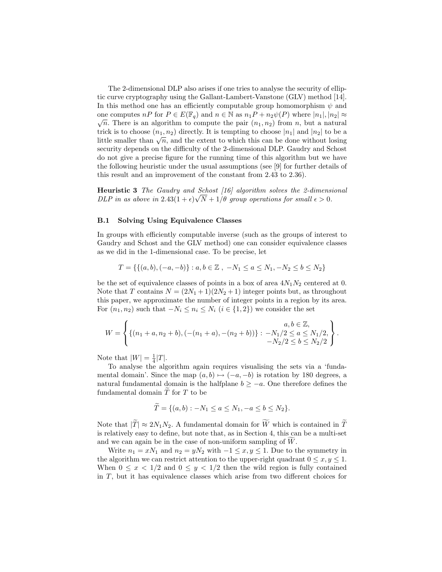The 2-dimensional DLP also arises if one tries to analyse the security of elliptic curve cryptography using the Gallant-Lambert-Vanstone (GLV) method [14]. In this method one has an efficiently computable group homomorphism  $\psi$  and one computes  $nP$  for  $P \in E(\mathbb{F}_q)$  and  $n \in \mathbb{N}$  as  $n_1P + n_2\psi(P)$  where  $|n_1|, |n_2| \approx$  $\sqrt{n}$ . There is an algorithm to compute the pair  $(n_1, n_2)$  from n, but a natural trick is to choose  $(n_1, n_2)$  directly. It is tempting to choose  $|n_1|$  and  $|n_2|$  to be a little smaller than  $\sqrt{n}$ , and the extent to which this can be done without losing security depends on the difficulty of the 2-dimensional DLP. Gaudry and Schost do not give a precise figure for the running time of this algorithm but we have the following heuristic under the usual assumptions (see [9] for further details of this result and an improvement of the constant from 2.43 to 2.36).

Heuristic 3 The Gaudry and Schost [16] algorithm solves the 2-dimensional DLP in as above in  $2.43(1+\epsilon)\sqrt{N+1/\theta}$  group operations for small  $\epsilon > 0$ .

#### B.1 Solving Using Equivalence Classes

In groups with efficiently computable inverse (such as the groups of interest to Gaudry and Schost and the GLV method) one can consider equivalence classes as we did in the 1-dimensional case. To be precise, let

$$
T = \{ \{ (a, b), (-a, -b) \} : a, b \in \mathbb{Z} \ , \ -N_1 \le a \le N_1, -N_2 \le b \le N_2 \}
$$

be the set of equivalence classes of points in a box of area  $4N_1N_2$  centered at 0. Note that T contains  $N = (2N_1 + 1)(2N_2 + 1)$  integer points but, as throughout this paper, we approximate the number of integer points in a region by its area. For  $(n_1, n_2)$  such that  $-N_i \leq n_i \leq N_i$   $(i \in \{1, 2\})$  we consider the set

$$
W = \left\{ \{ (n_1 + a, n_2 + b), (- (n_1 + a), -(n_2 + b)) \} : -N_1/2 \le a \le N_1/2, -N_2/2 \le b \le N_2/2 \right\}.
$$

Note that  $|W| = \frac{1}{4}|T|$ .

To analyse the algorithm again requires visualising the sets via a 'fundamental domain'. Since the map  $(a, b) \mapsto (-a, -b)$  is rotation by 180 degrees, a natural fundamental domain is the halfplane  $b \ge -a$ . One therefore defines the fundamental domain  $\overline{T}$  for  $T$  to be

$$
T = \{(a, b) : -N_1 \le a \le N_1, -a \le b \le N_2\}.
$$

Note that  $|\widetilde{T}| \approx 2N_1N_2$ . A fundamental domain for  $\widetilde{W}$  which is contained in  $\widetilde{T}$ is relatively easy to define, but note that, as in Section 4, this can be a multi-set and we can again be in the case of non-uniform sampling of  $W$ .

Write  $n_1 = xN_1$  and  $n_2 = yN_2$  with  $-1 \le x, y \le 1$ . Due to the symmetry in the algorithm we can restrict attention to the upper-right quadrant  $0 \le x, y \le 1$ . When  $0 \leq x < 1/2$  and  $0 \leq y < 1/2$  then the wild region is fully contained in  $T$ , but it has equivalence classes which arise from two different choices for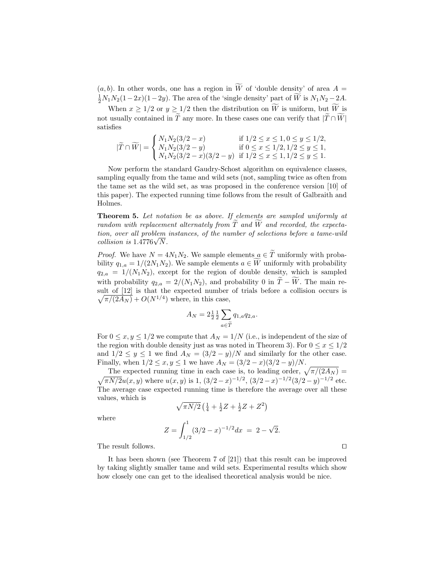$(a, b)$ . In other words, one has a region in  $\widetilde{W}$  of 'double density' of area  $A =$  $\frac{1}{2}N_1N_2(1-2x)(1-2y)$ . The area of the 'single density' part of W is  $N_1N_2-2A$ .

When  $x \geq 1/2$  or  $y \geq 1/2$  then the distribution on  $\widetilde{W}$  is uniform, but  $\widetilde{W}$  is not usually contained in  $\widetilde{T}$  any more. In these cases one can verify that  $|\widetilde{T} \cap \widetilde{W}|$ satisfies

$$
|\widetilde{T} \cap \widetilde{W}| = \begin{cases} N_1 N_2 (3/2 - x) & \text{if } 1/2 \le x \le 1, 0 \le y \le 1/2, \\ N_1 N_2 (3/2 - y) & \text{if } 0 \le x \le 1/2, 1/2 \le y \le 1, \\ N_1 N_2 (3/2 - x) (3/2 - y) & \text{if } 1/2 \le x \le 1, 1/2 \le y \le 1. \end{cases}
$$

Now perform the standard Gaudry-Schost algorithm on equivalence classes, sampling equally from the tame and wild sets (not, sampling twice as often from the tame set as the wild set, as was proposed in the conference version [10] of this paper). The expected running time follows from the result of Galbraith and Holmes.

Theorem 5. Let notation be as above. If elements are sampled uniformly at random with replacement alternately from  $\widetilde{T}$  and  $\widetilde{W}$  and recorded, the expectation, over all problem instances, of the number of selections before a tame-wild tion, over all problem<br>collision is  $1.4776\sqrt{N}$ .

*Proof.* We have  $N = 4N_1N_2$ . We sample elements  $a \in \tilde{T}$  uniformly with probability  $q_{1,a} = 1/(2N_1N_2)$ . We sample elements  $a \in W$  uniformly with probability  $q_{2,a} = 1/(N_1N_2)$ , except for the region of double density, which is sampled with probability  $q_{2,a} = 2/(N_1N_2)$ , and probability 0 in  $\widetilde{T} - \widetilde{W}$ . The main result of [12] is that the expected number of trials before a collision occurs is  $\sqrt{\pi/(2A_N)}$  +  $O(N^{1/4})$  where, in this case,

$$
A_N = 2\frac{1}{2}\frac{1}{2}\sum_{a \in \widetilde{T}} q_{1,a} q_{2,a}.
$$

For  $0 \le x, y \le 1/2$  we compute that  $A_N = 1/N$  (i.e., is independent of the size of the region with double density just as was noted in Theorem 3). For  $0 \le x \le 1/2$ and  $1/2 \le y \le 1$  we find  $A_N = (3/2 - y)/N$  and similarly for the other case. Finally, when  $1/2 \le x, y \le 1$  we have  $A_N = (3/2 - x)(3/2 - y)/N$ .

The expected running time in each case is, to leading order,  $\sqrt{\pi/(2A_N)}$  =  $\sqrt{\pi N/2}u(x,y)$  where  $u(x,y)$  is 1,  $\left(\frac{3}{2}-x\right)^{-1/2}$ ,  $\left(\frac{3}{2}-x\right)^{-1/2}\left(\frac{3}{2}-y\right)^{-1/2}$  etc. The average case expected running time is therefore the average over all these values, which is

$$
\sqrt{\pi N/2} \left( \frac{1}{4} + \frac{1}{2}Z + \frac{1}{2}Z + Z^2 \right)
$$

where

$$
Z = \int_{1/2}^{1} (3/2 - x)^{-1/2} dx = 2 - \sqrt{2}.
$$

The result follows.  $\Box$ 

It has been shown (see Theorem 7 of [21]) that this result can be improved by taking slightly smaller tame and wild sets. Experimental results which show how closely one can get to the idealised theoretical analysis would be nice.